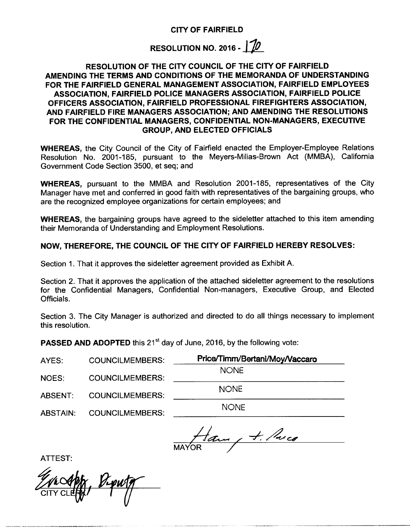RESOLUTION NO. 2016 -  $1/10$ 

## RESOLUTION OF THE CITY COUNCIL OF THE CITY OF FAIRFIELD AMENDING THE TERMS AND CONDITIONS OF THE MEMORANDA OF UNDERSTANDING FOR THE FAIRFIELD GENERAL MANAGEMENT ASSOCIATION, FAIRFIELD EMPLOYEES ASSOCIATION, FAIRFIELD POLICE MANAGERS ASSOCIATION, FAIRFIELD POLICE OFFICERS ASSOCIATION, FAIRFIELD PROFESSIONAL FIREFIGHTERS ASSOCIATION, AND FAIRFIELD FIRE MANAGERS ASSOCIATION; AND AMENDING THE RESOLUTIONS FOR THE CONFIDENTIAL MANAGERS, CONFIDENTIAL NON-MANAGERS, EXECUTIVE GROUP, AND ELECTED OFFICIALS

WHEREAS, the City Council of the City of Fairfield enacted the Employer-Employee Relations Resolution No. 2001-185, pursuant to the Meyers-Milias-Brown Act (MMBA), California Government Code Section 3500, et seq; and

WHEREAS, pursuant to the MMBA and Resolution 2001-185, representatives of the Citv Manager have met and conferred in good faith with representatives of the bargaining groups, who are the recognized employee organizations for certain employees; and

WHEREAS, the bargaining groups have agreed to the sideletter attached to this item amending their Memoranda of Understanding and Employment Resolutions.

## NOW, THEREFORE, THE COUNCIL OF THE CITY OF FAIRFIELD HEREBY RESOLVES:

Section 1. That it approves the sideletter agreement provided as Exhibit A.

Section 2. That it approves the application of the attached sideletter agreement to the resolutions for the Confidential Managers, Confidential Non- managers, Executive Group, and Elected Officials.

Section 3. The City Manager is authorized and directed to do all things necessary to implement this resolution.

**PASSED AND ADOPTED** this 21<sup>st</sup> day of June, 2016, by the following vote:

| AYES:    | <b>COUNCILMEMBERS:</b> | Price/Timm/Bertani/Moy/Vaccaro |
|----------|------------------------|--------------------------------|
| NOES:    | <b>COUNCILMEMBERS:</b> | <b>NONE</b>                    |
| ABSENT:  | <b>COUNCILMEMBERS:</b> | <b>NONE</b>                    |
| ABSTAIN: | <b>COUNCILMEMBERS:</b> | <b>NONE</b>                    |
|          |                        |                                |

Ham, +. Price

ATTEST:

Gro CITY CLEAN BLANCH